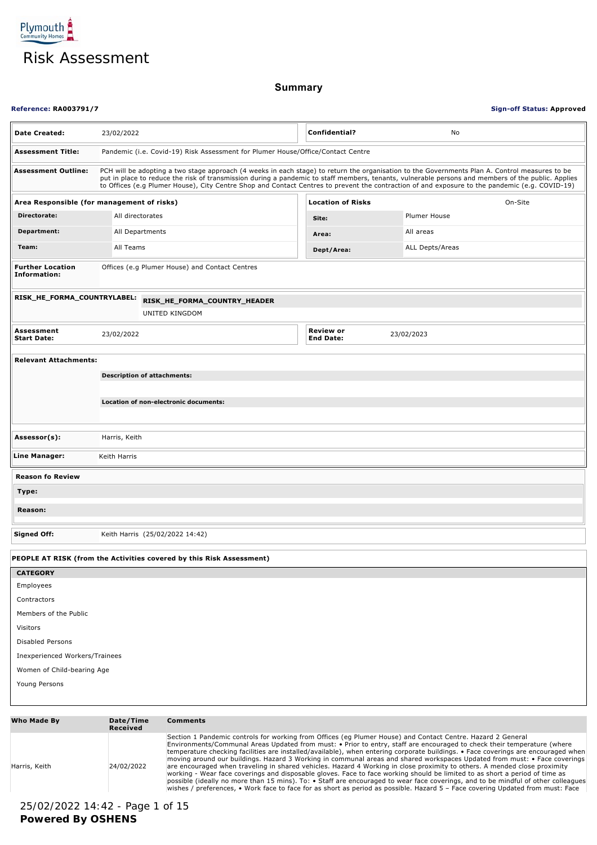

|                                                                  |                                                                                                                                                                                                                                                                                                                                                                                                                                                                                                                                                                                                                                                                                                                                                                                                                                                                                                                                                                                                                                                           |                                                                                 |  |                                      |  | <b>Risk Assessment</b> |  |  |  |
|------------------------------------------------------------------|-----------------------------------------------------------------------------------------------------------------------------------------------------------------------------------------------------------------------------------------------------------------------------------------------------------------------------------------------------------------------------------------------------------------------------------------------------------------------------------------------------------------------------------------------------------------------------------------------------------------------------------------------------------------------------------------------------------------------------------------------------------------------------------------------------------------------------------------------------------------------------------------------------------------------------------------------------------------------------------------------------------------------------------------------------------|---------------------------------------------------------------------------------|--|--------------------------------------|--|------------------------|--|--|--|
| <b>Summary</b>                                                   |                                                                                                                                                                                                                                                                                                                                                                                                                                                                                                                                                                                                                                                                                                                                                                                                                                                                                                                                                                                                                                                           |                                                                                 |  |                                      |  |                        |  |  |  |
| <b>Reference: RA003791/7</b><br><b>Sign-off Status: Approved</b> |                                                                                                                                                                                                                                                                                                                                                                                                                                                                                                                                                                                                                                                                                                                                                                                                                                                                                                                                                                                                                                                           |                                                                                 |  |                                      |  |                        |  |  |  |
| <b>Date Created:</b>                                             | 23/02/2022                                                                                                                                                                                                                                                                                                                                                                                                                                                                                                                                                                                                                                                                                                                                                                                                                                                                                                                                                                                                                                                |                                                                                 |  | Confidential?                        |  | No                     |  |  |  |
| <b>Assessment Title:</b>                                         |                                                                                                                                                                                                                                                                                                                                                                                                                                                                                                                                                                                                                                                                                                                                                                                                                                                                                                                                                                                                                                                           | Pandemic (i.e. Covid-19) Risk Assessment for Plumer House/Office/Contact Centre |  |                                      |  |                        |  |  |  |
| <b>Assessment Outline:</b>                                       | PCH will be adopting a two stage approach (4 weeks in each stage) to return the organisation to the Governments Plan A. Control measures to be<br>put in place to reduce the risk of transmission during a pandemic to staff members, tenants, vulnerable persons and members of the public. Applies<br>to Offices (e.g Plumer House), City Centre Shop and Contact Centres to prevent the contraction of and exposure to the pandemic (e.g. COVID-19)                                                                                                                                                                                                                                                                                                                                                                                                                                                                                                                                                                                                    |                                                                                 |  |                                      |  |                        |  |  |  |
| Area Responsible (for management of risks)                       |                                                                                                                                                                                                                                                                                                                                                                                                                                                                                                                                                                                                                                                                                                                                                                                                                                                                                                                                                                                                                                                           |                                                                                 |  | <b>Location of Risks</b>             |  | On-Site                |  |  |  |
| Directorate:                                                     | All directorates                                                                                                                                                                                                                                                                                                                                                                                                                                                                                                                                                                                                                                                                                                                                                                                                                                                                                                                                                                                                                                          |                                                                                 |  | Site:                                |  | Plumer House           |  |  |  |
| Department:                                                      | All Departments                                                                                                                                                                                                                                                                                                                                                                                                                                                                                                                                                                                                                                                                                                                                                                                                                                                                                                                                                                                                                                           |                                                                                 |  | Area:                                |  | All areas              |  |  |  |
| Team:                                                            | All Teams                                                                                                                                                                                                                                                                                                                                                                                                                                                                                                                                                                                                                                                                                                                                                                                                                                                                                                                                                                                                                                                 |                                                                                 |  | Dept/Area:                           |  | <b>ALL Depts/Areas</b> |  |  |  |
| <b>Further Location</b><br>Information:                          |                                                                                                                                                                                                                                                                                                                                                                                                                                                                                                                                                                                                                                                                                                                                                                                                                                                                                                                                                                                                                                                           | Offices (e.g Plumer House) and Contact Centres                                  |  |                                      |  |                        |  |  |  |
| RISK_HE_FORMA_COUNTRYLABEL:                                      |                                                                                                                                                                                                                                                                                                                                                                                                                                                                                                                                                                                                                                                                                                                                                                                                                                                                                                                                                                                                                                                           | RISK_HE_FORMA_COUNTRY_HEADER<br>UNITED KINGDOM                                  |  |                                      |  |                        |  |  |  |
| Assessment<br>Start Date:                                        | 23/02/2022                                                                                                                                                                                                                                                                                                                                                                                                                                                                                                                                                                                                                                                                                                                                                                                                                                                                                                                                                                                                                                                |                                                                                 |  | <b>Review or</b><br><b>End Date:</b> |  | 23/02/2023             |  |  |  |
| <b>Relevant Attachments:</b>                                     |                                                                                                                                                                                                                                                                                                                                                                                                                                                                                                                                                                                                                                                                                                                                                                                                                                                                                                                                                                                                                                                           |                                                                                 |  |                                      |  |                        |  |  |  |
|                                                                  |                                                                                                                                                                                                                                                                                                                                                                                                                                                                                                                                                                                                                                                                                                                                                                                                                                                                                                                                                                                                                                                           | <b>Description of attachments:</b>                                              |  |                                      |  |                        |  |  |  |
|                                                                  |                                                                                                                                                                                                                                                                                                                                                                                                                                                                                                                                                                                                                                                                                                                                                                                                                                                                                                                                                                                                                                                           |                                                                                 |  |                                      |  |                        |  |  |  |
|                                                                  |                                                                                                                                                                                                                                                                                                                                                                                                                                                                                                                                                                                                                                                                                                                                                                                                                                                                                                                                                                                                                                                           | Location of non-electronic documents:                                           |  |                                      |  |                        |  |  |  |
| Assessor(s):                                                     | Harris, Keith                                                                                                                                                                                                                                                                                                                                                                                                                                                                                                                                                                                                                                                                                                                                                                                                                                                                                                                                                                                                                                             |                                                                                 |  |                                      |  |                        |  |  |  |
| Line Manager:                                                    | Keith Harris                                                                                                                                                                                                                                                                                                                                                                                                                                                                                                                                                                                                                                                                                                                                                                                                                                                                                                                                                                                                                                              |                                                                                 |  |                                      |  |                        |  |  |  |
| <b>Reason fo Review</b>                                          |                                                                                                                                                                                                                                                                                                                                                                                                                                                                                                                                                                                                                                                                                                                                                                                                                                                                                                                                                                                                                                                           |                                                                                 |  |                                      |  |                        |  |  |  |
| Type:                                                            |                                                                                                                                                                                                                                                                                                                                                                                                                                                                                                                                                                                                                                                                                                                                                                                                                                                                                                                                                                                                                                                           |                                                                                 |  |                                      |  |                        |  |  |  |
| Reason:                                                          |                                                                                                                                                                                                                                                                                                                                                                                                                                                                                                                                                                                                                                                                                                                                                                                                                                                                                                                                                                                                                                                           |                                                                                 |  |                                      |  |                        |  |  |  |
| <b>Signed Off:</b>                                               |                                                                                                                                                                                                                                                                                                                                                                                                                                                                                                                                                                                                                                                                                                                                                                                                                                                                                                                                                                                                                                                           | Keith Harris (25/02/2022 14:42)                                                 |  |                                      |  |                        |  |  |  |
|                                                                  |                                                                                                                                                                                                                                                                                                                                                                                                                                                                                                                                                                                                                                                                                                                                                                                                                                                                                                                                                                                                                                                           | PEOPLE AT RISK (from the Activities covered by this Risk Assessment)            |  |                                      |  |                        |  |  |  |
| <b>CATEGORY</b>                                                  |                                                                                                                                                                                                                                                                                                                                                                                                                                                                                                                                                                                                                                                                                                                                                                                                                                                                                                                                                                                                                                                           |                                                                                 |  |                                      |  |                        |  |  |  |
| Employees                                                        |                                                                                                                                                                                                                                                                                                                                                                                                                                                                                                                                                                                                                                                                                                                                                                                                                                                                                                                                                                                                                                                           |                                                                                 |  |                                      |  |                        |  |  |  |
| Contractors                                                      |                                                                                                                                                                                                                                                                                                                                                                                                                                                                                                                                                                                                                                                                                                                                                                                                                                                                                                                                                                                                                                                           |                                                                                 |  |                                      |  |                        |  |  |  |
| Members of the Public                                            |                                                                                                                                                                                                                                                                                                                                                                                                                                                                                                                                                                                                                                                                                                                                                                                                                                                                                                                                                                                                                                                           |                                                                                 |  |                                      |  |                        |  |  |  |
| Visitors                                                         |                                                                                                                                                                                                                                                                                                                                                                                                                                                                                                                                                                                                                                                                                                                                                                                                                                                                                                                                                                                                                                                           |                                                                                 |  |                                      |  |                        |  |  |  |
| <b>Disabled Persons</b>                                          |                                                                                                                                                                                                                                                                                                                                                                                                                                                                                                                                                                                                                                                                                                                                                                                                                                                                                                                                                                                                                                                           |                                                                                 |  |                                      |  |                        |  |  |  |
| Inexperienced Workers/Trainees                                   |                                                                                                                                                                                                                                                                                                                                                                                                                                                                                                                                                                                                                                                                                                                                                                                                                                                                                                                                                                                                                                                           |                                                                                 |  |                                      |  |                        |  |  |  |
| Women of Child-bearing Age                                       |                                                                                                                                                                                                                                                                                                                                                                                                                                                                                                                                                                                                                                                                                                                                                                                                                                                                                                                                                                                                                                                           |                                                                                 |  |                                      |  |                        |  |  |  |
| Young Persons                                                    |                                                                                                                                                                                                                                                                                                                                                                                                                                                                                                                                                                                                                                                                                                                                                                                                                                                                                                                                                                                                                                                           |                                                                                 |  |                                      |  |                        |  |  |  |
| Who Made By                                                      | Date/Time                                                                                                                                                                                                                                                                                                                                                                                                                                                                                                                                                                                                                                                                                                                                                                                                                                                                                                                                                                                                                                                 | <b>Comments</b>                                                                 |  |                                      |  |                        |  |  |  |
|                                                                  | <b>Received</b>                                                                                                                                                                                                                                                                                                                                                                                                                                                                                                                                                                                                                                                                                                                                                                                                                                                                                                                                                                                                                                           |                                                                                 |  |                                      |  |                        |  |  |  |
| Harris, Keith                                                    | Section 1 Pandemic controls for working from Offices (eg Plumer House) and Contact Centre. Hazard 2 General<br>Environments/Communal Areas Updated from must: • Prior to entry, staff are encouraged to check their temperature (where<br>temperature checking facilities are installed/available), when entering corporate buildings. • Face coverings are encouraged when<br>moving around our buildings. Hazard 3 Working in communal areas and shared workspaces Updated from must: • Face coverings<br>are encouraged when traveling in shared vehicles. Hazard 4 Working in close proximity to others. A mended close proximity<br>24/02/2022<br>working - Wear face coverings and disposable gloves. Face to face working should be limited to as short a period of time as<br>possible (ideally no more than 15 mins). To: • Staff are encouraged to wear face coverings, and to be mindful of other colleagues<br>wishes / preferences, • Work face to face for as short as period as possible. Hazard 5 - Face covering Updated from must: Face |                                                                                 |  |                                      |  |                        |  |  |  |

### **Who Made By Date/Time Received Comments** Harris, Keith 24/02/2022 Section 1 Pandemic controls for working from Offices (eg Plumer House) and Contact Centre. Hazard 2 General<br>Environments/Communal Areas Updated from must: • Prior to entry, staff are encouraged to check their temperature c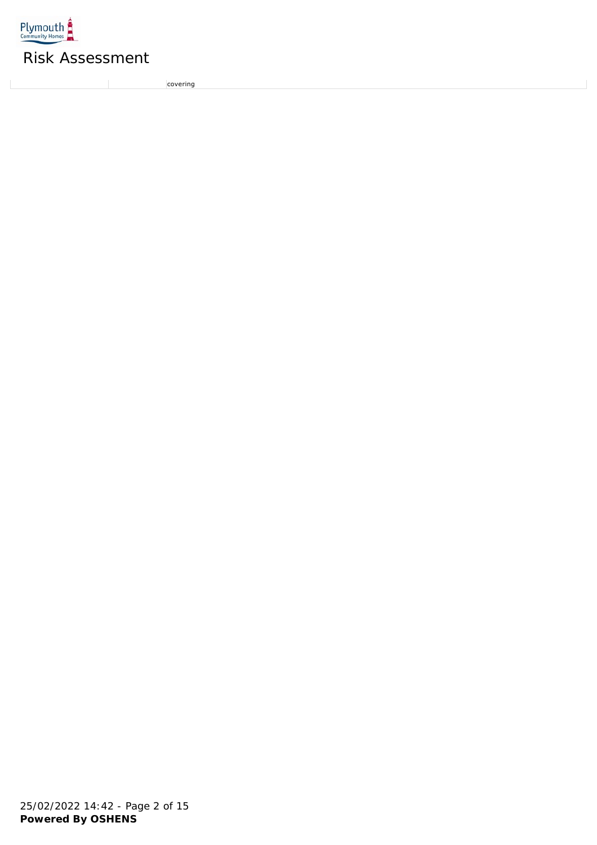

 $\mathbb{L}$ 

# Risk Assessment

covering<br>covering

 $\bar{\phantom{a}}$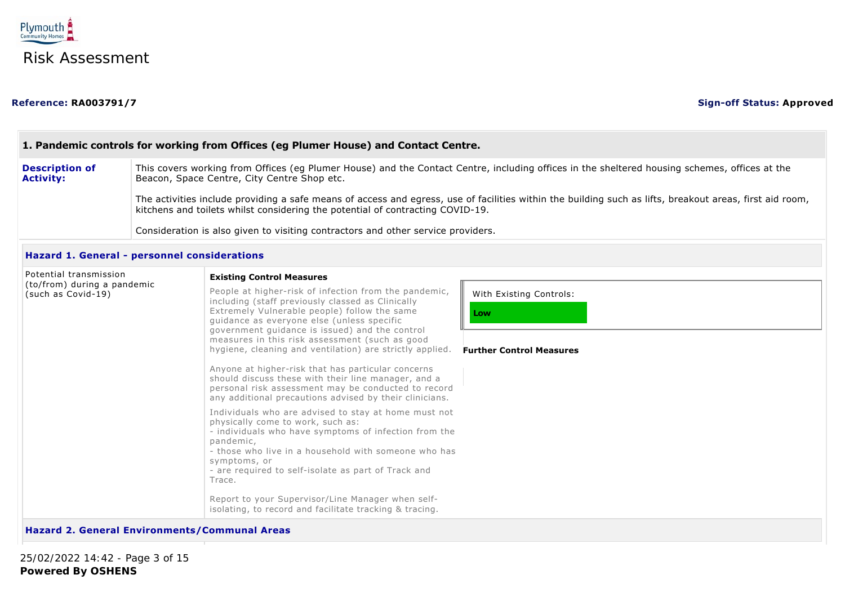

#### People at higher-risk of infection from the pandemic, including (staff previously classed as Clinically Extremely Vulnerable people) follow the same guidance as everyone else (unless specific government guidance is issued) and the control measures in this risk assessment (such as good hygiene, cleaning and ventilation) are strictly applied. Anyone at higher-risk that has particular concerns should discuss these with their line manager, and a personal risk assessment may be conducted to record any additional precautions advised by their clinicians. Individuals who are advised to stay at home must not physically come to work, such as: - individuals who have symptoms of infection from the pandemic, - those who live in a household with someone who has symptoms, or - are required to self-isolate as part of Track and Trace. Report to your Supervisor/Line Manager when selfisolating, to record and facilitate tracking & tracing. With Existing Controls: **Low 1. Pandemic controls for working from Offices (eg Plumer House) and Contact Centre. Description of Activity:** This covers working from Offices (eg Plumer House) and the Contact Centre, including offices in the sheltered housing schemes, offices at the Beacon, Space Centre, City Centre Shop etc. The activities include providing a safe means of access and egress, use of facilities within the building such as lifts, breakout areas, first aid room, kitchens and toilets whilst considering the potential of contracting COVID-19. Consideration is also given to visiting contractors and other service providers. **Hazard 1. General - personnel considerations** Potential transmission (to/from) during a pandemic (such as Covid-19) **Existing Control Measures Further Control Measures**

#### **Hazard 2. General Environments/Communal Areas**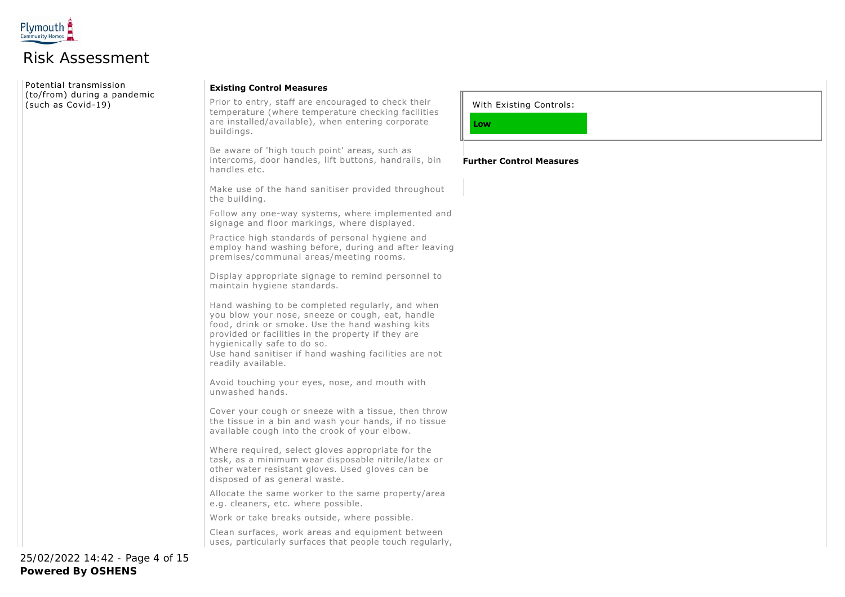

Potential transmission (to/from) during a pandemic (such as Covid-19)

#### **Existing Control Measures**

Prior to entry, staff are encouraged to check their temperature (where temperature checking facilities are installed/available), when entering corporate buildings.

Be aware of 'high touch point' areas, such as intercoms, door handles, lift buttons, handrails, bin handles etc.

Make use of the hand sanitiser provided throughout the building.

Follow any one-way systems, where implemented and signage and floor markings, where displayed.

Practice high standards of personal hygiene and employ hand washing before, during and after leaving premises/communal areas/meeting rooms.

Display appropriate signage to remind personnel to maintain hygiene standards.

Hand washing to be completed regularly, and when you blow your nose, sneeze or cough, eat, handle food, drink or smoke. Use the hand washing kits provided or facilities in the property if they are hygienically safe to do so. Use hand sanitiser if hand washing facilities are not readily available.

Avoid touching your eyes, nose, and mouth with unwashed hands.

Cover your cough or sneeze with a tissue, then throw the tissue in a bin and wash your hands, if no tissue available cough into the crook of your elbow.

Where required, select gloves appropriate for the task, as a minimum wear disposable nitrile/latex or other water resistant gloves. Used gloves can be disposed of as general waste.

Allocate the same worker to the same property/area e.g. cleaners, etc. where possible.

Work or take breaks outside, where possible.

Clean surfaces, work areas and equipment between uses, particularly surfaces that people touch regularly, With Existing Controls:

**Further Control Measures**

**Low**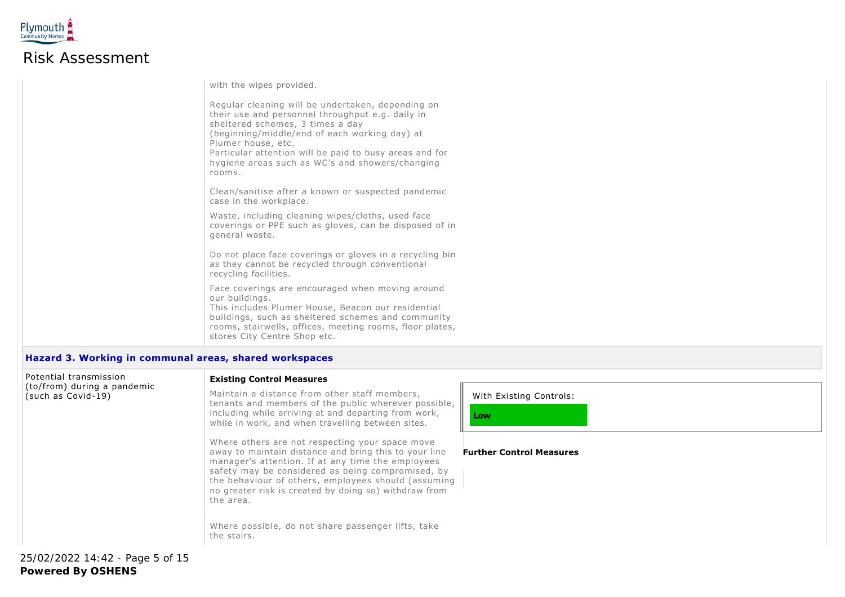

with the wipes provided. Regular cleaning will be undertaken, depending on their use and personnel throughput e.g. daily in sheltered schemes, 3 times a day (beginning/middle/end of each working day) at Plumer house, etc. Particular attention will be paid to busy areas and for hygiene areas such as WC's and showers/changing rooms. Clean/sanitise after a known or suspected pandemic case in the workplace. Waste, including cleaning wipes/cloths, used face coverings or PPE such as gloves, can be disposed of in general waste. Do not place face coverings or gloves in a recycling bin as they cannot be recycled through conventional recycling facilities. Face coverings are encouraged when moving around our buildings. This includes Plumer House, Beacon our residential buildings, such as sheltered schemes and community rooms, stairwells, offices, meeting rooms, floor plates, stores City Centre Shop etc.

#### **Hazard 3. Working in communal areas, shared workspaces**

| Potential transmission                            |  | <b>Existing Control Measures</b>                                                                                                                                                                                                                                                                                                                                                                                     |                                 |  |
|---------------------------------------------------|--|----------------------------------------------------------------------------------------------------------------------------------------------------------------------------------------------------------------------------------------------------------------------------------------------------------------------------------------------------------------------------------------------------------------------|---------------------------------|--|
| (to/from) during a pandemic<br>(such as Covid-19) |  | Maintain a distance from other staff members,<br>tenants and members of the public wherever possible,<br>including while arriving at and departing from work,<br>while in work, and when travelling between sites.                                                                                                                                                                                                   | With Existing Controls:<br>Low  |  |
|                                                   |  | Where others are not respecting your space move<br>away to maintain distance and bring this to your line<br>manager's attention. If at any time the employees<br>safety may be considered as being compromised, by<br>the behaviour of others, employees should (assuming<br>no greater risk is created by doing so) withdraw from<br>the area.<br>Where possible, do not share passenger lifts, take<br>the stairs. | <b>Further Control Measures</b> |  |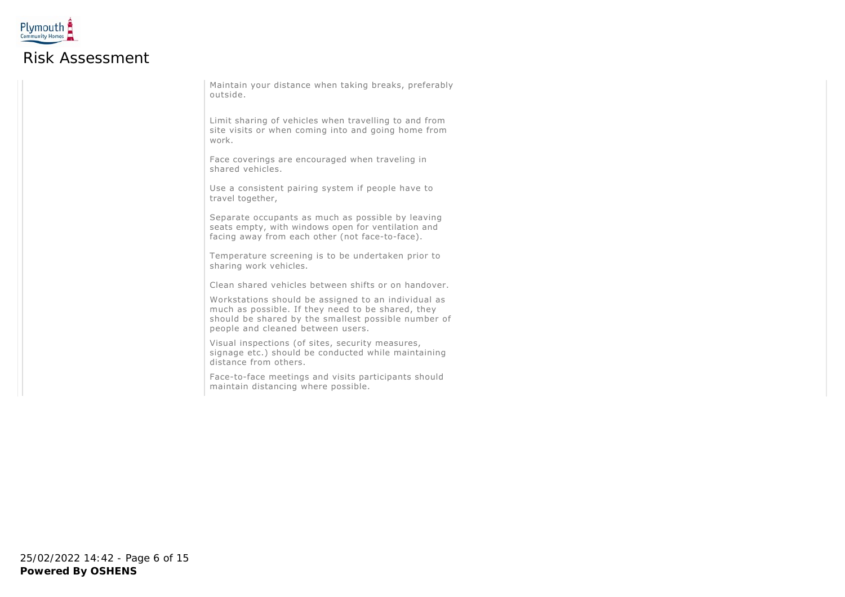

Maintain your distance when taking breaks, preferably outside.

Limit sharing of vehicles when travelling to and from site visits or when coming into and going home from work.

Face coverings are encouraged when traveling in shared vehicles.

Use a consistent pairing system if people have to travel together,

Separate occupants as much as possible by leaving seats empty, with windows open for ventilation and facing away from each other (not face-to-face).

Temperature screening is to be undertaken prior to sharing work vehicles.

Clean shared vehicles between shifts or on handover.

Workstations should be assigned to an individual as much as possible. If they need to be shared, they should be shared by the smallest possible number of people and cleaned between users.

Visual inspections (of sites, security measures, signage etc.) should be conducted while maintaining distance from others.

Face-to-face meetings and visits participants should maintain distancing where possible.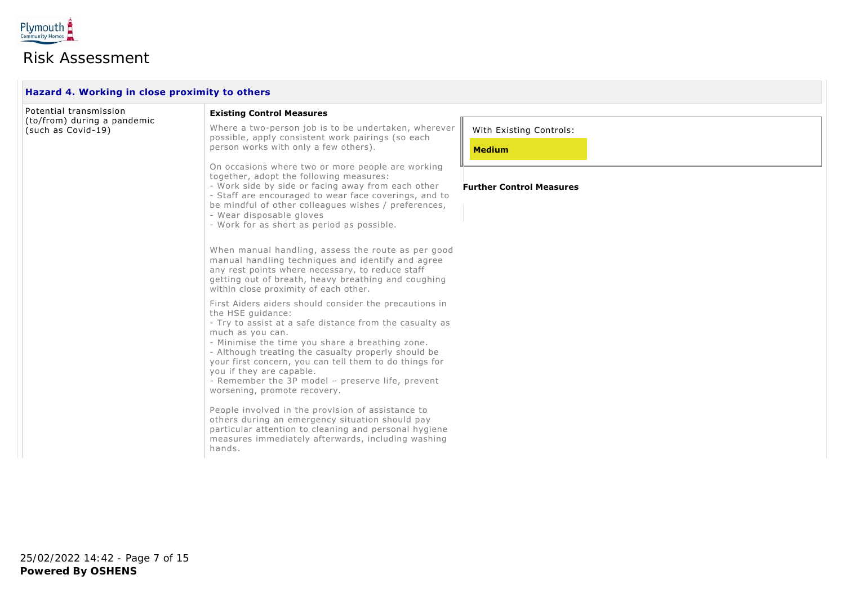

| Hazard 4. Working in close proximity to others    |                                                                                                                                                                                                                                                                                                                                                                                                                                                |                                 |  |  |  |
|---------------------------------------------------|------------------------------------------------------------------------------------------------------------------------------------------------------------------------------------------------------------------------------------------------------------------------------------------------------------------------------------------------------------------------------------------------------------------------------------------------|---------------------------------|--|--|--|
| Potential transmission                            | <b>Existing Control Measures</b>                                                                                                                                                                                                                                                                                                                                                                                                               |                                 |  |  |  |
| (to/from) during a pandemic<br>(such as Covid-19) | Where a two-person job is to be undertaken, wherever<br>possible, apply consistent work pairings (so each<br>person works with only a few others).                                                                                                                                                                                                                                                                                             | With Existing Controls:         |  |  |  |
|                                                   |                                                                                                                                                                                                                                                                                                                                                                                                                                                | <b>Medium</b>                   |  |  |  |
|                                                   | On occasions where two or more people are working<br>together, adopt the following measures:<br>- Work side by side or facing away from each other<br>- Staff are encouraged to wear face coverings, and to<br>be mindful of other colleagues wishes / preferences,<br>- Wear disposable gloves<br>- Work for as short as period as possible.                                                                                                  | <b>Further Control Measures</b> |  |  |  |
|                                                   | When manual handling, assess the route as per good<br>manual handling techniques and identify and agree<br>any rest points where necessary, to reduce staff<br>getting out of breath, heavy breathing and coughing<br>within close proximity of each other.                                                                                                                                                                                    |                                 |  |  |  |
|                                                   | First Aiders aiders should consider the precautions in<br>the HSE quidance:<br>- Try to assist at a safe distance from the casualty as<br>much as you can.<br>- Minimise the time you share a breathing zone.<br>- Although treating the casualty properly should be<br>your first concern, you can tell them to do things for<br>you if they are capable.<br>- Remember the 3P model - preserve life, prevent<br>worsening, promote recovery. |                                 |  |  |  |
|                                                   | People involved in the provision of assistance to<br>others during an emergency situation should pay<br>particular attention to cleaning and personal hygiene<br>measures immediately afterwards, including washing<br>hands.                                                                                                                                                                                                                  |                                 |  |  |  |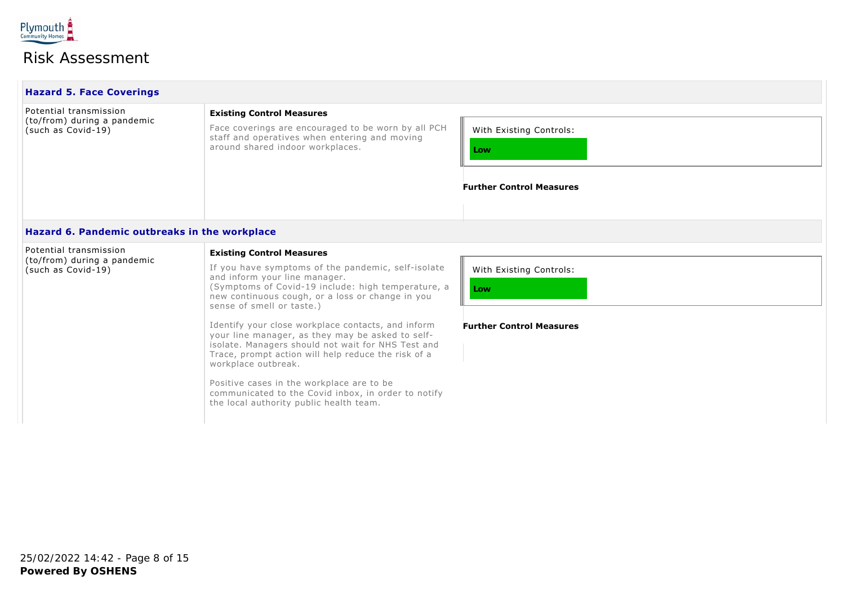

| <b>Hazard 5. Face Coverings</b>                                             |                                                                                                                                                                                                                                                                                                                                                                                  |                                                                   |
|-----------------------------------------------------------------------------|----------------------------------------------------------------------------------------------------------------------------------------------------------------------------------------------------------------------------------------------------------------------------------------------------------------------------------------------------------------------------------|-------------------------------------------------------------------|
| Potential transmission<br>(to/from) during a pandemic<br>(such as Covid-19) | <b>Existing Control Measures</b><br>Face coverings are encouraged to be worn by all PCH<br>staff and operatives when entering and moving<br>around shared indoor workplaces.                                                                                                                                                                                                     | With Existing Controls:<br>Low<br><b>Further Control Measures</b> |
| Hazard 6. Pandemic outbreaks in the workplace                               |                                                                                                                                                                                                                                                                                                                                                                                  |                                                                   |
| Potential transmission<br>(to/from) during a pandemic<br>(such as Covid-19) | <b>Existing Control Measures</b><br>If you have symptoms of the pandemic, self-isolate<br>and inform your line manager.<br>(Symptoms of Covid-19 include: high temperature, a<br>new continuous cough, or a loss or change in you<br>sense of smell or taste.)<br>Telescapità il secondo della della contra le della della della della della della condita della condita della c | With Existing Controls:<br>Low<br>_  _                            |

Identify your close workplace contacts, and inform your line manager, as they may be asked to selfisolate. Managers should not wait for NHS Test and Trace, prompt action will help reduce the risk of a workplace outbreak.

Positive cases in the workplace are to be communicated to the Covid inbox, in order to notify the local authority public health team.

**Further Control Measures**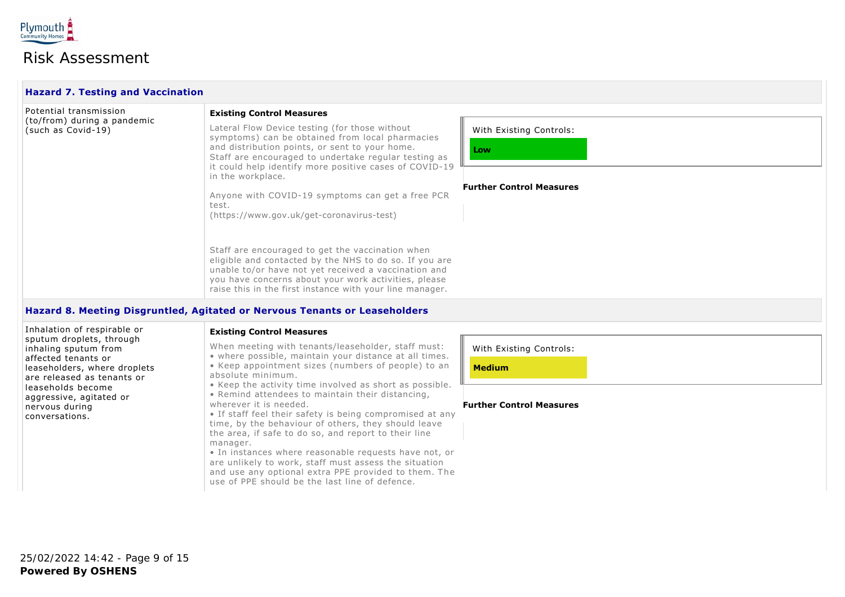

| <b>Hazard 7. Testing and Vaccination</b>          |                                                                                                                                                                                                                                                                                        |                                 |  |  |
|---------------------------------------------------|----------------------------------------------------------------------------------------------------------------------------------------------------------------------------------------------------------------------------------------------------------------------------------------|---------------------------------|--|--|
| Potential transmission                            | <b>Existing Control Measures</b>                                                                                                                                                                                                                                                       |                                 |  |  |
| (to/from) during a pandemic<br>(such as Covid-19) | Lateral Flow Device testing (for those without<br>symptoms) can be obtained from local pharmacies<br>and distribution points, or sent to your home.<br>Staff are encouraged to undertake regular testing as<br>it could help identify more positive cases of COVID-19                  | With Existing Controls:<br>Low  |  |  |
|                                                   | in the workplace.                                                                                                                                                                                                                                                                      |                                 |  |  |
|                                                   | Anyone with COVID-19 symptoms can get a free PCR<br>test.<br>(https://www.gov.uk/get-coronavirus-test)                                                                                                                                                                                 | <b>Further Control Measures</b> |  |  |
|                                                   | Staff are encouraged to get the vaccination when<br>eligible and contacted by the NHS to do so. If you are<br>unable to/or have not yet received a vaccination and<br>you have concerns about your work activities, please<br>raise this in the first instance with your line manager. |                                 |  |  |

#### **Hazard 8. Meeting Disgruntled, Agitated or Nervous Tenants or Leaseholders**

Inhalation of respirable or sputum droplets, through inhaling sputum from affected tenants or leaseholders, where droplets are released as tenants or leaseholds become aggressive, agitated or nervous during conversations.

#### **Existing Control Measures**

When meeting with tenants/leaseholder, staff must:

• where possible, maintain your distance at all times. • Keep appointment sizes (numbers of people) to an absolute minimum.

• Keep the activity time involved as short as possible.

• Remind attendees to maintain their distancing,

wherever it is needed.

• If staff feel their safety is being compromised at any time, by the behaviour of others, they should leave the area, if safe to do so, and report to their line manager.

• In instances where reasonable requests have not, or are unlikely to work, staff must assess the situation and use any optional extra PPE provided to them. The use of PPE should be the last line of defence.

With Existing Controls:

**Medium**

#### **Further Control Measures**

**Powered By OSHENS** 25/02/2022 14:42 - Page 9 of 15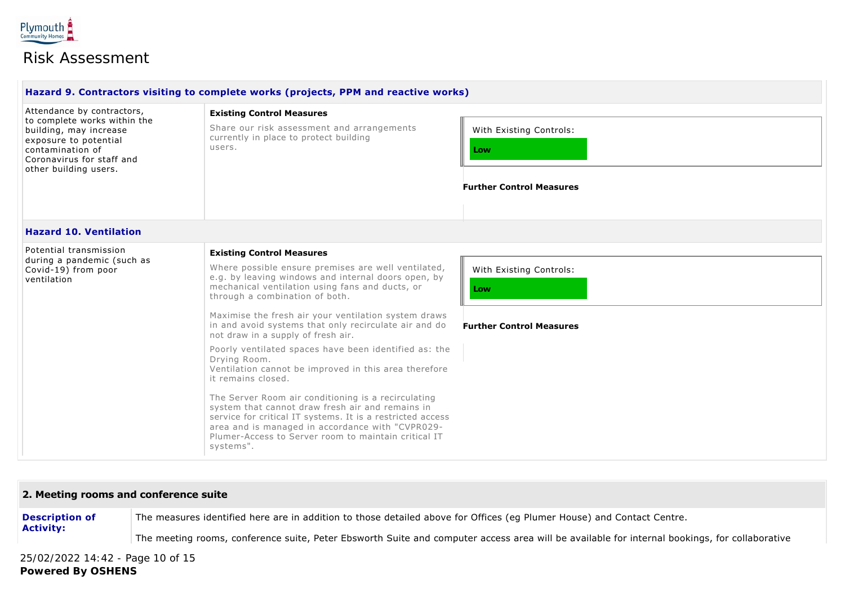

|                                                                                                                                                                                         | Hazard 9. Contractors visiting to complete works (projects, PPM and reactive works)                                                                                                                                                                                                                                                                                                                                                                                                                                                                                                                           |                                                                   |
|-----------------------------------------------------------------------------------------------------------------------------------------------------------------------------------------|---------------------------------------------------------------------------------------------------------------------------------------------------------------------------------------------------------------------------------------------------------------------------------------------------------------------------------------------------------------------------------------------------------------------------------------------------------------------------------------------------------------------------------------------------------------------------------------------------------------|-------------------------------------------------------------------|
| Attendance by contractors,<br>to complete works within the<br>building, may increase<br>exposure to potential<br>contamination of<br>Coronavirus for staff and<br>other building users. | <b>Existing Control Measures</b><br>Share our risk assessment and arrangements<br>currently in place to protect building<br>users.                                                                                                                                                                                                                                                                                                                                                                                                                                                                            | With Existing Controls:<br>Low<br><b>Further Control Measures</b> |
| <b>Hazard 10. Ventilation</b>                                                                                                                                                           |                                                                                                                                                                                                                                                                                                                                                                                                                                                                                                                                                                                                               |                                                                   |
| Potential transmission<br>during a pandemic (such as<br>Covid-19) from poor<br>ventilation                                                                                              | <b>Existing Control Measures</b><br>Where possible ensure premises are well ventilated,<br>e.g. by leaving windows and internal doors open, by<br>mechanical ventilation using fans and ducts, or<br>through a combination of both.                                                                                                                                                                                                                                                                                                                                                                           | With Existing Controls:<br>Low                                    |
|                                                                                                                                                                                         | Maximise the fresh air your ventilation system draws<br>in and avoid systems that only recirculate air and do<br>not draw in a supply of fresh air.<br>Poorly ventilated spaces have been identified as: the<br>Drying Room.<br>Ventilation cannot be improved in this area therefore<br>it remains closed.<br>The Server Room air conditioning is a recirculating<br>system that cannot draw fresh air and remains in<br>service for critical IT systems. It is a restricted access<br>area and is managed in accordance with "CVPR029-<br>Plumer-Access to Server room to maintain critical IT<br>systems". | <b>Further Control Measures</b>                                   |

#### **2. Meeting rooms and conference suite**

**Description of Activity:** The measures identified here are in addition to those detailed above for Offices (eg Plumer House) and Contact Centre.

The meeting rooms, conference suite, Peter Ebsworth Suite and computer access area will be available for internal bookings, for collaborative

**Powered By OSHENS** 25/02/2022 14:42 - Page 10 of 15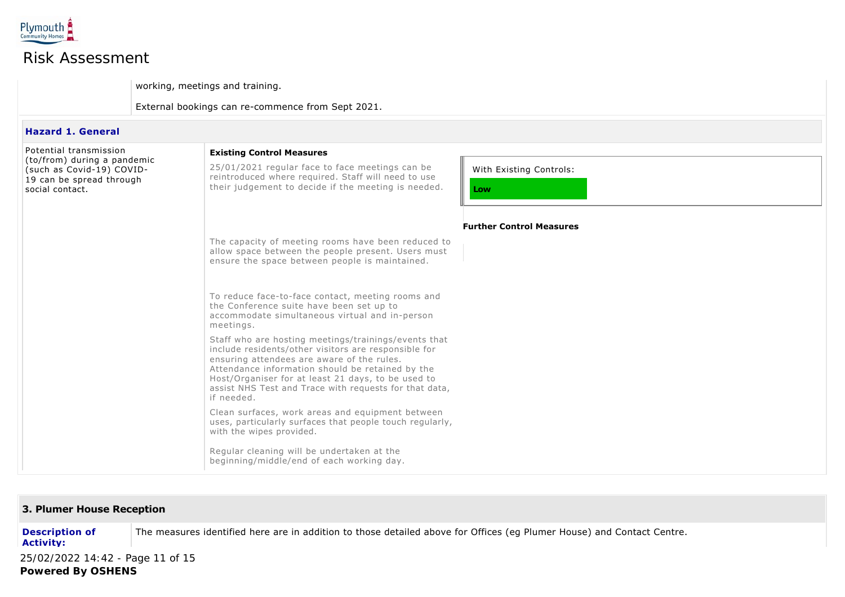

working, meetings and training.

External bookings can re-commence from Sept 2021.

#### **Hazard 1. General**

| Potential transmission<br>(to/from) during a pandemic<br>(such as Covid-19) COVID-<br>19 can be spread through<br>social contact. | <b>Existing Control Measures</b><br>25/01/2021 regular face to face meetings can be<br>reintroduced where required. Staff will need to use<br>their judgement to decide if the meeting is needed.                                                                                                                                            | With Existing Controls:<br>Low  |
|-----------------------------------------------------------------------------------------------------------------------------------|----------------------------------------------------------------------------------------------------------------------------------------------------------------------------------------------------------------------------------------------------------------------------------------------------------------------------------------------|---------------------------------|
|                                                                                                                                   | The capacity of meeting rooms have been reduced to<br>allow space between the people present. Users must<br>ensure the space between people is maintained.                                                                                                                                                                                   | <b>Further Control Measures</b> |
|                                                                                                                                   | To reduce face-to-face contact, meeting rooms and<br>the Conference suite have been set up to<br>accommodate simultaneous virtual and in-person<br>meetings.                                                                                                                                                                                 |                                 |
|                                                                                                                                   | Staff who are hosting meetings/trainings/events that<br>include residents/other visitors are responsible for<br>ensuring attendees are aware of the rules.<br>Attendance information should be retained by the<br>Host/Organiser for at least 21 days, to be used to<br>assist NHS Test and Trace with requests for that data,<br>if needed. |                                 |
|                                                                                                                                   | Clean surfaces, work areas and equipment between<br>uses, particularly surfaces that people touch regularly,<br>with the wipes provided.                                                                                                                                                                                                     |                                 |
|                                                                                                                                   | Regular cleaning will be undertaken at the<br>beginning/middle/end of each working day.                                                                                                                                                                                                                                                      |                                 |

### **3. Plumer House Reception**

**Description of Activity:** The measures identified here are in addition to those detailed above for Offices (eg Plumer House) and Contact Centre.

**Powered By OSHENS** 25/02/2022 14:42 - Page 11 of 15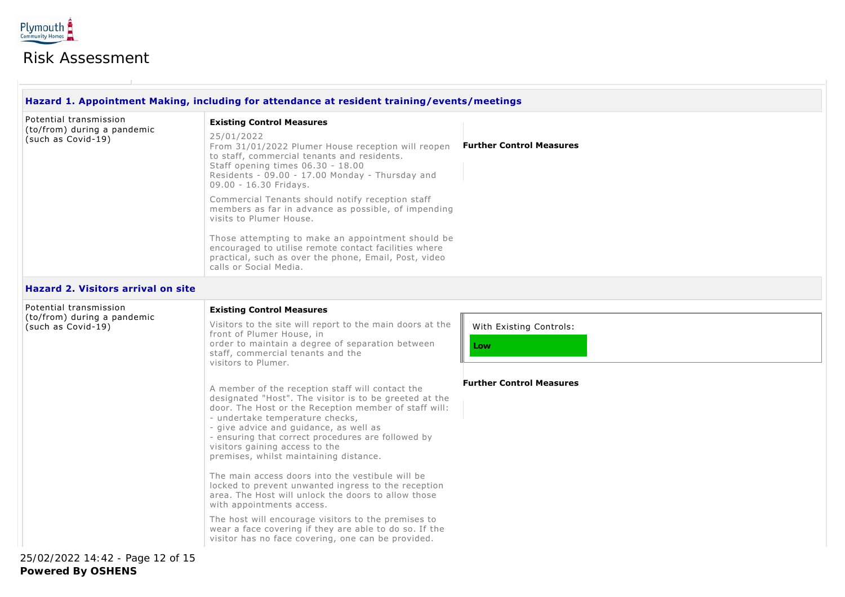

|                                                                             | Hazard 1. Appointment Making, including for attendance at resident training/events/meetings                                                                                                                                                                                                                                                                                                                                                                                                                                                                                                                                           |                                                                   |
|-----------------------------------------------------------------------------|---------------------------------------------------------------------------------------------------------------------------------------------------------------------------------------------------------------------------------------------------------------------------------------------------------------------------------------------------------------------------------------------------------------------------------------------------------------------------------------------------------------------------------------------------------------------------------------------------------------------------------------|-------------------------------------------------------------------|
| Potential transmission<br>(to/from) during a pandemic<br>(such as Covid-19) | <b>Existing Control Measures</b><br>25/01/2022<br>From 31/01/2022 Plumer House reception will reopen Further Control Measures<br>to staff, commercial tenants and residents.<br>Staff opening times 06.30 - 18.00<br>Residents - 09.00 - 17.00 Monday - Thursday and<br>09.00 - 16.30 Fridays.<br>Commercial Tenants should notify reception staff<br>members as far in advance as possible, of impending<br>visits to Plumer House.<br>Those attempting to make an appointment should be<br>encouraged to utilise remote contact facilities where<br>practical, such as over the phone, Email, Post, video<br>calls or Social Media. |                                                                   |
| <b>Hazard 2. Visitors arrival on site</b>                                   |                                                                                                                                                                                                                                                                                                                                                                                                                                                                                                                                                                                                                                       |                                                                   |
| Potential transmission<br>(to/from) during a pandemic<br>(such as Covid-19) | <b>Existing Control Measures</b><br>Visitors to the site will report to the main doors at the<br>front of Plumer House, in<br>order to maintain a degree of separation between<br>staff, commercial tenants and the<br>visitors to Plumer.<br>A member of the reception staff will contact the<br>designated "Host". The visitor is to be greeted at the                                                                                                                                                                                                                                                                              | With Existing Controls:<br>Low<br><b>Further Control Measures</b> |
|                                                                             | door. The Host or the Reception member of staff will:<br>- undertake temperature checks,<br>- give advice and guidance, as well as<br>- ensuring that correct procedures are followed by<br>visitors gaining access to the<br>premises, whilst maintaining distance.<br>The main access doors into the vestibule will be<br>locked to prevent unwanted ingress to the reception                                                                                                                                                                                                                                                       |                                                                   |
|                                                                             | area. The Host will unlock the doors to allow those<br>with appointments access.<br>The host will encourage visitors to the premises to<br>wear a face covering if they are able to do so. If the<br>visitor has no face covering, one can be provided.                                                                                                                                                                                                                                                                                                                                                                               |                                                                   |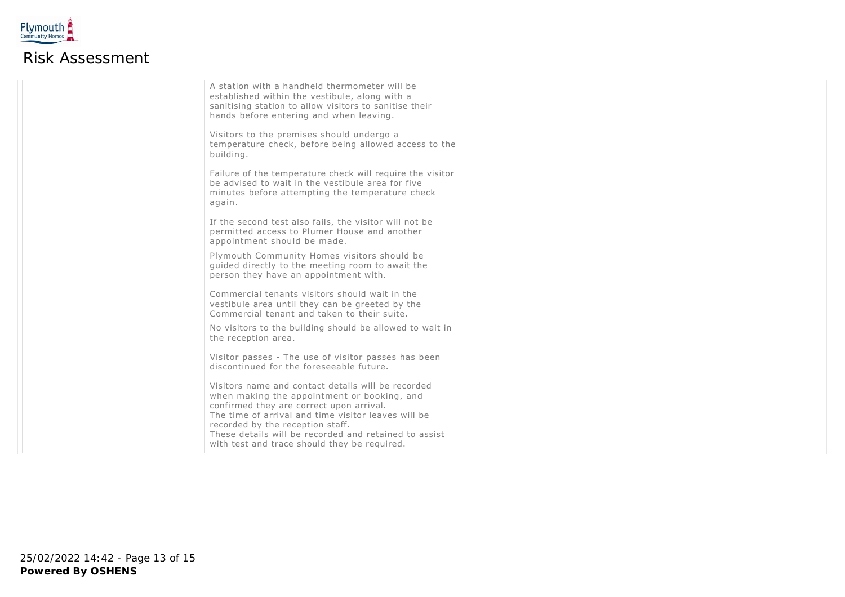

A station with a handheld thermometer will be established within the vestibule, along with a sanitising station to allow visitors to sanitise their hands before entering and when leaving.

Visitors to the premises should undergo a temperature check, before being allowed access to the building.

Failure of the temperature check will require the visitor be advised to wait in the vestibule area for five minutes before attempting the temperature check again.

If the second test also fails, the visitor will not be permitted access to Plumer House and another appointment should be made.

Plymouth Community Homes visitors should be guided directly to the meeting room to await the person they have an appointment with.

Commercial tenants visitors should wait in the vestibule area until they can be greeted by the Commercial tenant and taken to their suite.

No visitors to the building should be allowed to wait in the reception area.

Visitor passes - The use of visitor passes has been discontinued for the foreseeable future.

Visitors name and contact details will be recorded when making the appointment or booking, and confirmed they are correct upon arrival. The time of arrival and time visitor leaves will be recorded by the reception staff.

These details will be recorded and retained to assist with test and trace should they be required.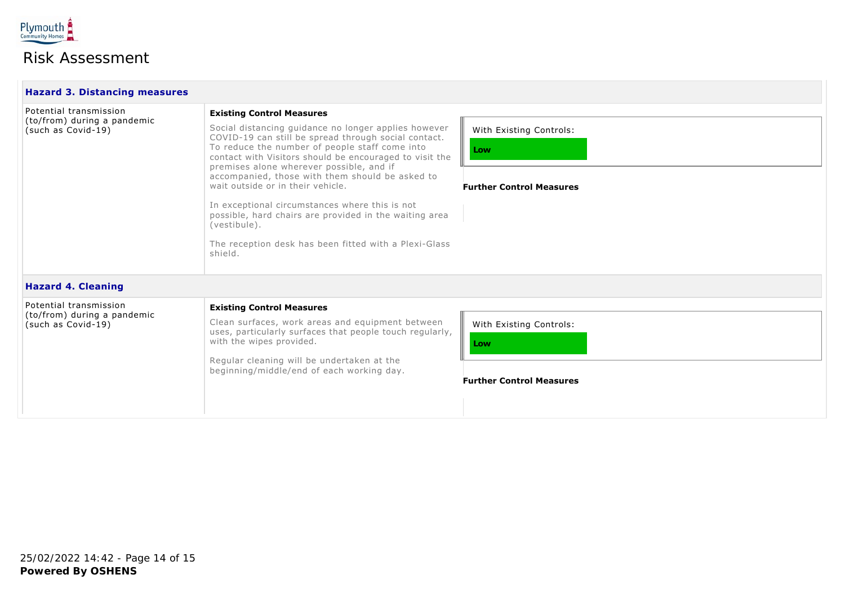

| <b>Hazard 3. Distancing measures</b>                                        |                                                                                                                                                                                                                                                                                                                                                                                                                                                                                                                                                                                                   |                                                                   |
|-----------------------------------------------------------------------------|---------------------------------------------------------------------------------------------------------------------------------------------------------------------------------------------------------------------------------------------------------------------------------------------------------------------------------------------------------------------------------------------------------------------------------------------------------------------------------------------------------------------------------------------------------------------------------------------------|-------------------------------------------------------------------|
| Potential transmission<br>(to/from) during a pandemic<br>(such as Covid-19) | <b>Existing Control Measures</b><br>Social distancing guidance no longer applies however<br>COVID-19 can still be spread through social contact.<br>To reduce the number of people staff come into<br>contact with Visitors should be encouraged to visit the<br>premises alone wherever possible, and if<br>accompanied, those with them should be asked to<br>wait outside or in their vehicle.<br>In exceptional circumstances where this is not<br>possible, hard chairs are provided in the waiting area<br>(vestibule).<br>The reception desk has been fitted with a Plexi-Glass<br>shield. | With Existing Controls:<br>Low                                    |
|                                                                             |                                                                                                                                                                                                                                                                                                                                                                                                                                                                                                                                                                                                   | <b>Further Control Measures</b>                                   |
| <b>Hazard 4. Cleaning</b>                                                   |                                                                                                                                                                                                                                                                                                                                                                                                                                                                                                                                                                                                   |                                                                   |
| Potential transmission<br>(to/from) during a pandemic<br>(such as Covid-19) | <b>Existing Control Measures</b><br>Clean surfaces, work areas and equipment between<br>uses, particularly surfaces that people touch regularly,<br>with the wipes provided.<br>Regular cleaning will be undertaken at the<br>beginning/middle/end of each working day.                                                                                                                                                                                                                                                                                                                           | With Existing Controls:<br>Low<br><b>Further Control Measures</b> |